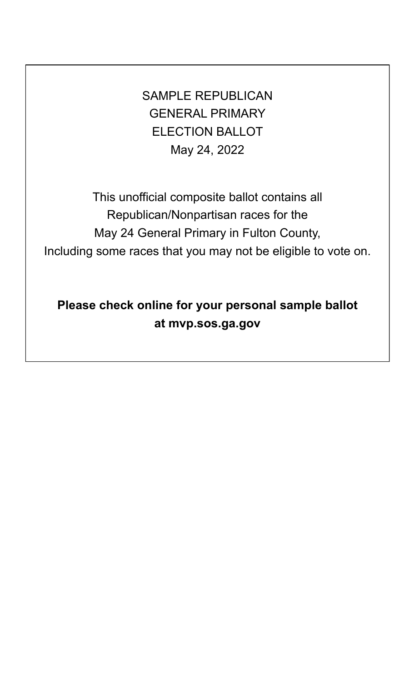SAMPLE REPUBLICAN GENERAL PRIMARY ELECTION BALLOT May 24, 2022

This unofficial composite ballot contains all Republican/Nonpartisan races for the May 24 General Primary in Fulton County, Including some races that you may not be eligible to vote on.

**Please check online for your personal sample ballot at mvp.sos.ga.gov**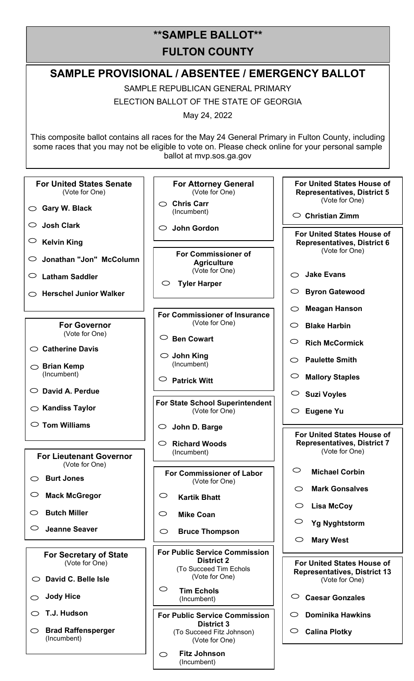# **\*\*SAMPLE BALLOT\*\* FULTON COUNTY**

#### **SAMPLE PROVISIONAL / ABSENTEE / EMERGENCY BALLOT** SAMPLE REPUBLICAN GENERAL PRIMARY ELECTION BALLOT OF THE STATE OF GEORGIA May 24, 2022 This composite ballot contains all races for the May 24 General Primary in Fulton County, including some races that you may not be eligible to vote on. Please check online for your personal sample ballot at mvp.sos.ga.gov **For United States House of For United States Senate For Attorney General Representatives, District 5** (Vote for One) (Vote for One) (Vote for One) **Chris Carr Gary W. Black** (Incumbent) **Christian Zimm Josh Clark John Gordon For United States House of Kelvin King Representatives, District 6** (Vote for One) **For Commissioner of Jonathan "Jon" McColumn Agriculture** (Vote for One) **Jake Evans Latham Saddler Tyler Harper Byron Gatewood Herschel Junior Walker Meagan Hanson For Commissioner of Insurance** (Vote for One) **For Governor Blake Harbin** (Vote for One) **Ben Cowart Rich McCormick Catherine Davis John King Paulette Smith** (Incumbent) **Brian Kemp**  (Incumbent) **Mallory Staples Patrick Witt David A. Perdue Suzi Voyles For State School Superintendent Kandiss Taylor** (Vote for One) **Eugene Yu Tom Williams John D. Barge For United States House of Richard Woods Representatives, District 7** (Incumbent) (Vote for One) **For Lieutenant Governor**  (Vote for One)  $\bigcirc$ **Michael Corbin For Commissioner of Labor Burt Jones** (Vote for One) **Mark Gonsalves Mack McGregor**  $\bigcirc$ **Kartik Bhatt Lisa McCoy Butch Miller**  $\circ$ **Mike Coan**  $\bigcirc$ **Yg Nyghtstorm Jeanne Seaver**  $\bigcirc$ **Bruce Thompson Mary WestFor Public Service Commission For Secretary of State District 2** (Vote for One) **For United States House of**  (To Succeed Tim Echols **Representatives, District 13** (Vote for One) **David C. Belle Isle** (Vote for One)  $\circ$ **Tim Echols Jody Hice Caesar Gonzales** (Incumbent) **T.J. Hudson For Public Service Commission Dominika Hawkins District 3 Brad Raffensperger Calina Plotky** (To Succeed Fitz Johnson) (Incumbent) (Vote for One)

**Fitz Johnson**  $\bigcirc$ (Incumbent)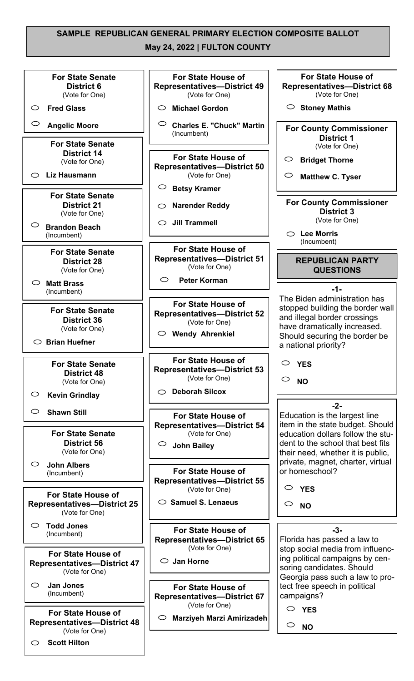### **SAMPLE REPUBLICAN GENERAL PRIMARY ELECTION COMPOSITE BALLOT May 24, 2022 | FULTON COUNTY**

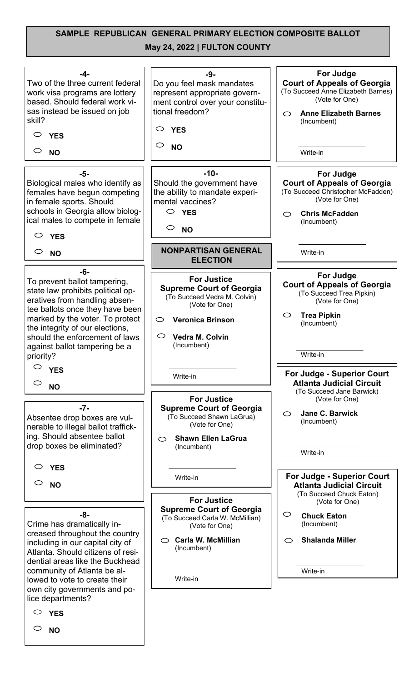## **SAMPLE REPUBLICAN GENERAL PRIMARY ELECTION COMPOSITE BALLOT**

### **May 24, 2022 | FULTON COUNTY**

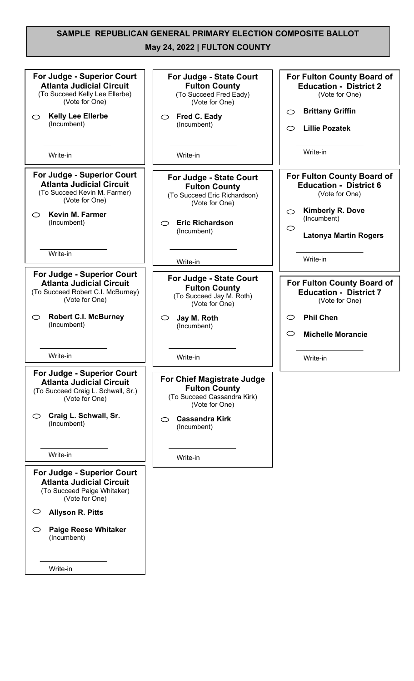### **SAMPLE REPUBLICAN GENERAL PRIMARY ELECTION COMPOSITE BALLOT**

### **May 24, 2022 | FULTON COUNTY**